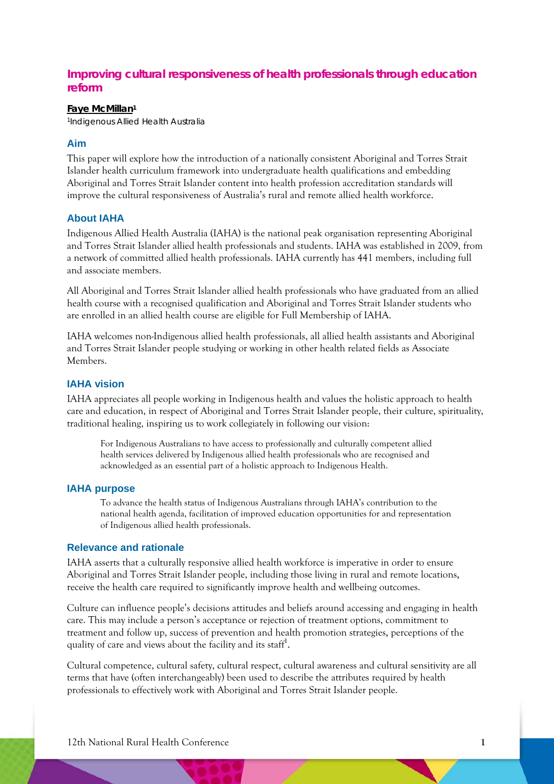# **Improving cultural responsiveness of health professionals through education reform**

#### **Faye McMillan1**

1Indigenous Allied Health Australia

## **Aim**

This paper will explore how the introduction of a nationally consistent Aboriginal and Torres Strait Islander health curriculum framework into undergraduate health qualifications and embedding Aboriginal and Torres Strait Islander content into health profession accreditation standards will improve the cultural responsiveness of Australia's rural and remote allied health workforce.

## **About IAHA**

Indigenous Allied Health Australia (IAHA) is the national peak organisation representing Aboriginal and Torres Strait Islander allied health professionals and students. IAHA was established in 2009, from a network of committed allied health professionals. IAHA currently has 441 members, including full and associate members.

All Aboriginal and Torres Strait Islander allied health professionals who have graduated from an allied health course with a recognised qualification and Aboriginal and Torres Strait Islander students who are enrolled in an allied health course are eligible for Full Membership of IAHA.

IAHA welcomes non-Indigenous allied health professionals, all allied health assistants and Aboriginal and Torres Strait Islander people studying or working in other health related fields as Associate Members.

## **IAHA vision**

IAHA appreciates all people working in Indigenous health and values the holistic approach to health care and education, in respect of Aboriginal and Torres Strait Islander people, their culture, spirituality, traditional healing, inspiring us to work collegiately in following our vision:

For Indigenous Australians to have access to professionally and culturally competent allied health services delivered by Indigenous allied health professionals who are recognised and acknowledged as an essential part of a holistic approach to Indigenous Health.

#### **IAHA purpose**

To advance the health status of Indigenous Australians through IAHA's contribution to the national health agenda, facilitation of improved education opportunities for and representation of Indigenous allied health professionals.

## **Relevance and rationale**

IAHA asserts that a culturally responsive allied health workforce is imperative in order to ensure Aboriginal and Torres Strait Islander people, including those living in rural and remote locations, receive the health care required to significantly improve health and wellbeing outcomes.

Culture can influence people's decisions attitudes and beliefs around accessing and engaging in health care. This may include a person's acceptance or rejection of treatment options, commitment to treatment and follow up, success of prevention and health promotion strategies, perceptions of the quality of care and views about the facility and its staff<sup>1</sup>.

Cultural competence, cultural safety, cultural respect, cultural awareness and cultural sensitivity are all terms that have (often interchangeably) been used to describe the attributes required by health professionals to effectively work with Aboriginal and Torres Strait Islander people.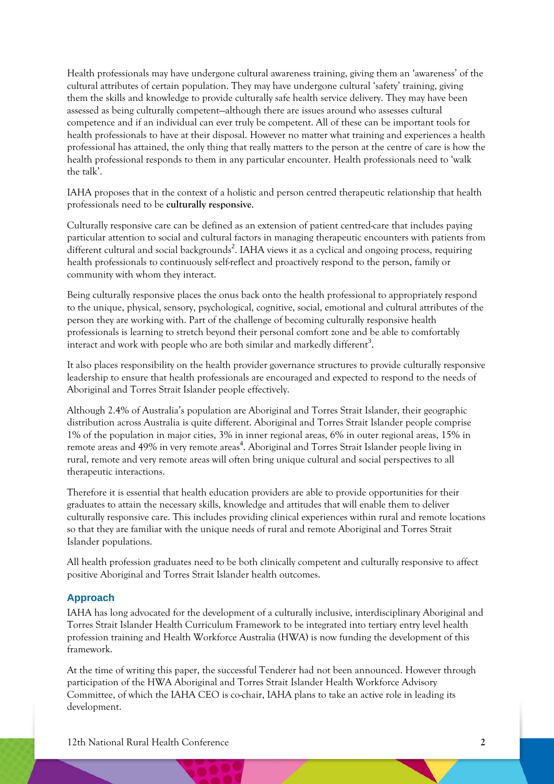Health professionals may have undergone cultural awareness training, giving them an 'awareness' of the cultural attributes of certain population. They may have undergone cultural 'safety' training, giving them the skills and knowledge to provide culturally safe health service delivery. They may have been assessed as being culturally competent—although there are issues around who assesses cultural competence and if an individual can ever truly be competent. All of these can be important tools for health professionals to have at their disposal. However no matter what training and experiences a health professional has attained, the only thing that really matters to the person at the centre of care is how the health professional responds to them in any particular encounter. Health professionals need to 'walk the talk'.

IAHA proposes that in the context of a holistic and person centred therapeutic relationship that health professionals need to be **culturally responsive**.

Culturally responsive care can be defined as an extension of patient centred-care that includes paying particular attention to social and cultural factors in managing therapeutic encounters with patients from different cultural and social backgrounds<sup>2</sup>. IAHA views it as a cyclical and ongoing process, requiring health professionals to continuously self-reflect and proactively respond to the person, family or community with whom they interact.

Being culturally responsive places the onus back onto the health professional to appropriately respond to the unique, physical, sensory, psychological, cognitive, social, emotional and cultural attributes of the person they are working with. Part of the challenge of becoming culturally responsive health professionals is learning to stretch beyond their personal comfort zone and be able to comfortably interact and work with people who are both similar and markedly different<sup>3</sup>.

It also places responsibility on the health provider governance structures to provide culturally responsive leadership to ensure that health professionals are encouraged and expected to respond to the needs of Aboriginal and Torres Strait Islander people effectively.

Although 2.4% of Australia's population are Aboriginal and Torres Strait Islander, their geographic distribution across Australia is quite different. Aboriginal and Torres Strait Islander people comprise 1% of the population in major cities, 3% in inner regional areas, 6% in outer regional areas, 15% in remote areas and 49% in very remote areas<sup>4</sup>. Aboriginal and Torres Strait Islander people living in rural, remote and very remote areas will often bring unique cultural and social perspectives to all therapeutic interactions.

Therefore it is essential that health education providers are able to provide opportunities for their graduates to attain the necessary skills, knowledge and attitudes that will enable them to deliver culturally responsive care. This includes providing clinical experiences within rural and remote locations so that they are familiar with the unique needs of rural and remote Aboriginal and Torres Strait Islander populations.

All health profession graduates need to be both clinically competent and culturally responsive to affect positive Aboriginal and Torres Strait Islander health outcomes.

## **Approach**

IAHA has long advocated for the development of a culturally inclusive, interdisciplinary Aboriginal and Torres Strait Islander Health Curriculum Framework to be integrated into tertiary entry level health profession training and Health Workforce Australia (HWA) is now funding the development of this framework.

At the time of writing this paper, the successful Tenderer had not been announced. However through participation of the HWA Aboriginal and Torres Strait Islander Health Workforce Advisory Committee, of which the IAHA CEO is co-chair, IAHA plans to take an active role in leading its development.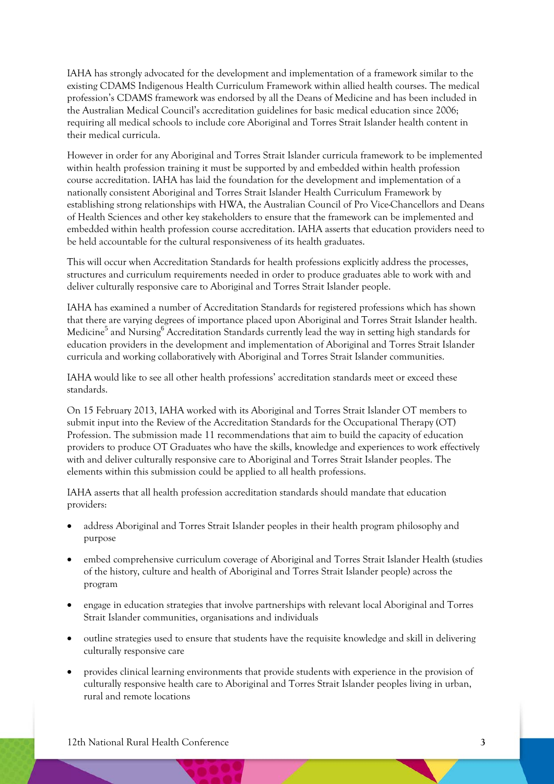IAHA has strongly advocated for the development and implementation of a framework similar to the existing CDAMS Indigenous Health Curriculum Framework within allied health courses. The medical profession's CDAMS framework was endorsed by all the Deans of Medicine and has been included in the Australian Medical Council's accreditation guidelines for basic medical education since 2006; requiring all medical schools to include core Aboriginal and Torres Strait Islander health content in their medical curricula.

However in order for any Aboriginal and Torres Strait Islander curricula framework to be implemented within health profession training it must be supported by and embedded within health profession course accreditation. IAHA has laid the foundation for the development and implementation of a nationally consistent Aboriginal and Torres Strait Islander Health Curriculum Framework by establishing strong relationships with HWA, the Australian Council of Pro Vice-Chancellors and Deans of Health Sciences and other key stakeholders to ensure that the framework can be implemented and embedded within health profession course accreditation. IAHA asserts that education providers need to be held accountable for the cultural responsiveness of its health graduates.

This will occur when Accreditation Standards for health professions explicitly address the processes, structures and curriculum requirements needed in order to produce graduates able to work with and deliver culturally responsive care to Aboriginal and Torres Strait Islander people.

IAHA has examined a number of Accreditation Standards for registered professions which has shown that there are varying degrees of importance placed upon Aboriginal and Torres Strait Islander health. Medicine<sup>5</sup> and Nursing<sup>6</sup> Accreditation Standards currently lead the way in setting high standards for education providers in the development and implementation of Aboriginal and Torres Strait Islander curricula and working collaboratively with Aboriginal and Torres Strait Islander communities.

IAHA would like to see all other health professions' accreditation standards meet or exceed these standards.

On 15 February 2013, IAHA worked with its Aboriginal and Torres Strait Islander OT members to submit input into the Review of the Accreditation Standards for the Occupational Therapy (OT) Profession. The submission made 11 recommendations that aim to build the capacity of education providers to produce OT Graduates who have the skills, knowledge and experiences to work effectively with and deliver culturally responsive care to Aboriginal and Torres Strait Islander peoples. The elements within this submission could be applied to all health professions.

IAHA asserts that all health profession accreditation standards should mandate that education providers:

- address Aboriginal and Torres Strait Islander peoples in their health program philosophy and purpose
- embed comprehensive curriculum coverage of Aboriginal and Torres Strait Islander Health (studies of the history, culture and health of Aboriginal and Torres Strait Islander people) across the program
- engage in education strategies that involve partnerships with relevant local Aboriginal and Torres Strait Islander communities, organisations and individuals
- outline strategies used to ensure that students have the requisite knowledge and skill in delivering culturally responsive care
- provides clinical learning environments that provide students with experience in the provision of culturally responsive health care to Aboriginal and Torres Strait Islander peoples living in urban, rural and remote locations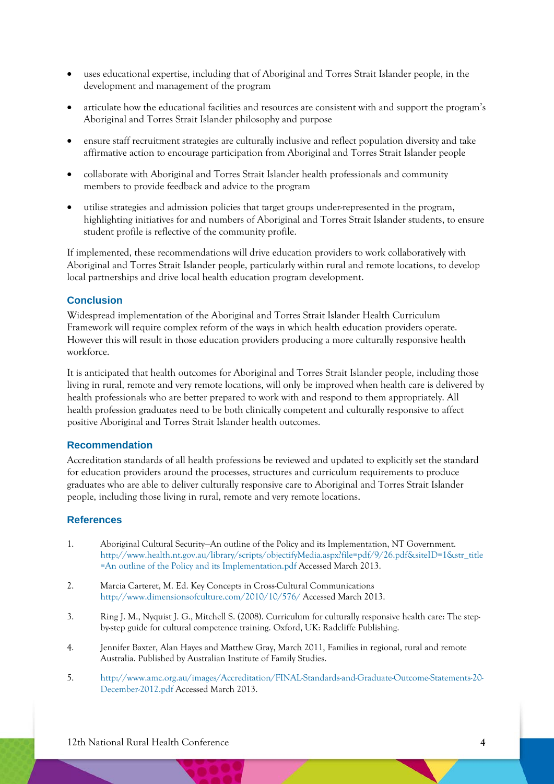- uses educational expertise, including that of Aboriginal and Torres Strait Islander people, in the development and management of the program
- articulate how the educational facilities and resources are consistent with and support the program's Aboriginal and Torres Strait Islander philosophy and purpose
- ensure staff recruitment strategies are culturally inclusive and reflect population diversity and take affirmative action to encourage participation from Aboriginal and Torres Strait Islander people
- collaborate with Aboriginal and Torres Strait Islander health professionals and community members to provide feedback and advice to the program
- utilise strategies and admission policies that target groups under-represented in the program, highlighting initiatives for and numbers of Aboriginal and Torres Strait Islander students, to ensure student profile is reflective of the community profile.

If implemented, these recommendations will drive education providers to work collaboratively with Aboriginal and Torres Strait Islander people, particularly within rural and remote locations, to develop local partnerships and drive local health education program development.

## **Conclusion**

Widespread implementation of the Aboriginal and Torres Strait Islander Health Curriculum Framework will require complex reform of the ways in which health education providers operate. However this will result in those education providers producing a more culturally responsive health workforce.

It is anticipated that health outcomes for Aboriginal and Torres Strait Islander people, including those living in rural, remote and very remote locations, will only be improved when health care is delivered by health professionals who are better prepared to work with and respond to them appropriately. All health profession graduates need to be both clinically competent and culturally responsive to affect positive Aboriginal and Torres Strait Islander health outcomes.

#### **Recommendation**

Accreditation standards of all health professions be reviewed and updated to explicitly set the standard for education providers around the processes, structures and curriculum requirements to produce graduates who are able to deliver culturally responsive care to Aboriginal and Torres Strait Islander people, including those living in rural, remote and very remote locations.

## **References**

- 1. Aboriginal Cultural Security—An outline of the Policy and its Implementation, NT Government. http://www.health.nt.gov.au/library/scripts/objectifyMedia.aspx?file=pdf/9/26.pdf&siteID=1&str\_title =An outline of the Policy and its Implementation.pdf Accessed March 2013.
- 2. Marcia Carteret, M. Ed. Key Concepts in Cross-Cultural Communications http://www.dimensionsofculture.com/2010/10/576/ Accessed March 2013.
- 3. Ring J. M., Nyquist J. G., Mitchell S. (2008). Curriculum for culturally responsive health care: The stepby-step guide for cultural competence training. Oxford, UK: Radcliffe Publishing.
- 4. Jennifer Baxter, Alan Hayes and Matthew Gray, March 2011, Families in regional, rural and remote Australia. Published by Australian Institute of Family Studies.
- 5. http://www.amc.org.au/images/Accreditation/FINAL-Standards-and-Graduate-Outcome-Statements-20- December-2012.pdf Accessed March 2013.